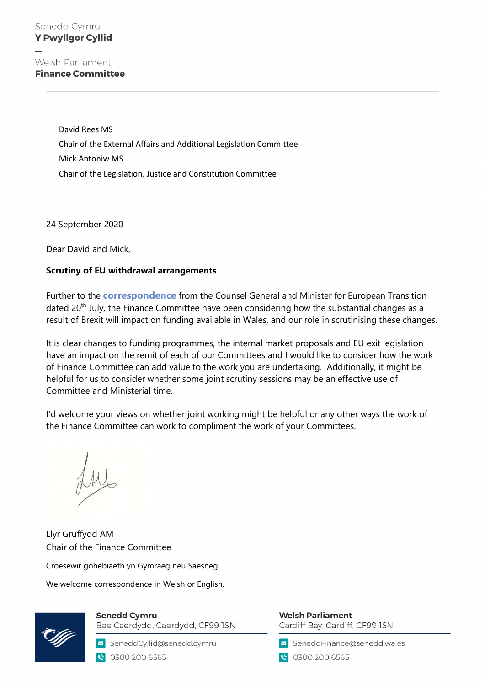Welsh Parliament **Finance Committee** 

> David Rees MS Chair of the External Affairs and Additional Legislation Committee Mick Antoniw MS Chair of the Legislation, Justice and Constitution Committee

24 September 2020

Dear David and Mick,

## **Scrutiny of EU withdrawal arrangements**

Further to the **[correspondence](https://business.senedd.wales/documents/s104441/FIN5-15-20%20PTN%201%20-%20Letter%20from%20the%20Counsel%20General%20and%20Minister%20for%20European%20Transition%20to%20the%20Ext.pdf)** from the Counsel General and Minister for European Transition dated 20<sup>th</sup> July, the Finance Committee have been considering how the substantial changes as a result of Brexit will impact on funding available in Wales, and our role in scrutinising these changes.

It is clear changes to funding programmes, the internal market proposals and EU exit legislation have an impact on the remit of each of our Committees and I would like to consider how the work of Finance Committee can add value to the work you are undertaking. Additionally, it might be helpful for us to consider whether some joint scrutiny sessions may be an effective use of Committee and Ministerial time.

I'd welcome your views on whether joint working might be helpful or any other ways the work of the Finance Committee can work to compliment the work of your Committees.

Llyr Gruffydd AM Chair of the Finance Committee

Croesewir gohebiaeth yn Gymraeg neu Saesneg.

We welcome correspondence in Welsh or English.



**Senedd Cymru** Bae Caerdydd, Caerdydd, CF99 ISN

SeneddCyllid@senedd.cymru C 0300 200 6565

**Welsh Parliament** Cardiff Bay, Cardiff, CF99 ISN

SeneddFinance@senedd.wales

€ 0300 200 6565